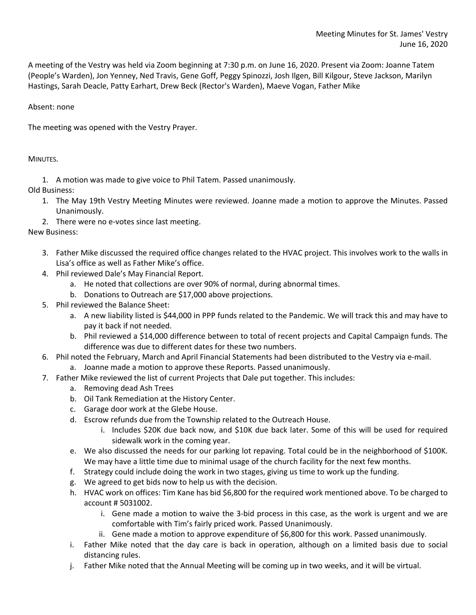A meeting of the Vestry was held via Zoom beginning at 7:30 p.m. on June 16, 2020. Present via Zoom: Joanne Tatem (People's Warden), Jon Yenney, Ned Travis, Gene Goff, Peggy Spinozzi, Josh Ilgen, Bill Kilgour, Steve Jackson, Marilyn Hastings, Sarah Deacle, Patty Earhart, Drew Beck (Rector's Warden), Maeve Vogan, Father Mike

Absent: none

The meeting was opened with the Vestry Prayer.

MINUTES.

1. A motion was made to give voice to Phil Tatem. Passed unanimously.

Old Business:

- 1. The May 19th Vestry Meeting Minutes were reviewed. Joanne made a motion to approve the Minutes. Passed Unanimously.
- 2. There were no e-votes since last meeting.

New Business:

- 3. Father Mike discussed the required office changes related to the HVAC project. This involves work to the walls in Lisa's office as well as Father Mike's office.
- 4. Phil reviewed Dale's May Financial Report.
	- a. He noted that collections are over 90% of normal, during abnormal times.
	- b. Donations to Outreach are \$17,000 above projections.
- 5. Phil reviewed the Balance Sheet:
	- a. A new liability listed is \$44,000 in PPP funds related to the Pandemic. We will track this and may have to pay it back if not needed.
	- b. Phil reviewed a \$14,000 difference between to total of recent projects and Capital Campaign funds. The difference was due to different dates for these two numbers.
- 6. Phil noted the February, March and April Financial Statements had been distributed to the Vestry via e-mail.
	- a. Joanne made a motion to approve these Reports. Passed unanimously.
- 7. Father Mike reviewed the list of current Projects that Dale put together. This includes:
	- a. Removing dead Ash Trees
	- b. Oil Tank Remediation at the History Center.
	- c. Garage door work at the Glebe House.
	- d. Escrow refunds due from the Township related to the Outreach House.
		- i. Includes \$20K due back now, and \$10K due back later. Some of this will be used for required sidewalk work in the coming year.
	- e. We also discussed the needs for our parking lot repaving. Total could be in the neighborhood of \$100K. We may have a little time due to minimal usage of the church facility for the next few months.
	- f. Strategy could include doing the work in two stages, giving us time to work up the funding.
	- g. We agreed to get bids now to help us with the decision.
	- h. HVAC work on offices: Tim Kane has bid \$6,800 for the required work mentioned above. To be charged to account # 5031002.
		- i. Gene made a motion to waive the 3-bid process in this case, as the work is urgent and we are comfortable with Tim's fairly priced work. Passed Unanimously.
		- ii. Gene made a motion to approve expenditure of \$6,800 for this work. Passed unanimously.
	- i. Father Mike noted that the day care is back in operation, although on a limited basis due to social distancing rules.
	- j. Father Mike noted that the Annual Meeting will be coming up in two weeks, and it will be virtual.